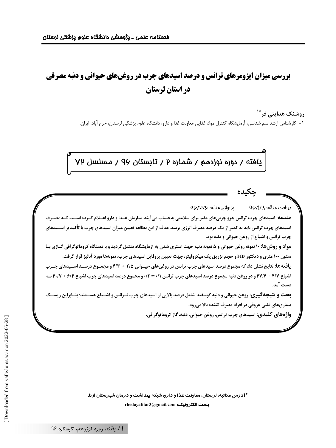# **بررسی میزان ایزومرهای ترانس و درصد اسیدهای چرب در روغنهای حیوانی و دنبه مصرفی** در استان لرستان

روشنک هدایتی فر<sup>\*'</sup> ۱- کارشناس ارشد سم شناسی، آزمایشگاه کنترل مواد غذایی معاونت غذا و دارو، دانشگاه علوم پزشکی لرستان، خرم آباد، ایران.

یافته / دوره نوزدهم / شماره ۲ / تابستان ۹۷ / مسلسل ۷۲

ِيذِيرِش مقاله: ٩۶/٣/۶ دريافت مقاله: QÇ/I/人 مقدمه: اسیدهای چرب ترانس جزو چربیهای مضر برای سلامتی بهحساب میآیند. سازمان غــذا و دارو اعــلام کــرده اســت کــه مصــرف اسیدهای چرب ترانس باید به کمتر از یک درصد مصرف انرژی برسد. هدف از این مطالعه تعیین میزان اسیدهای چرب با تأکید بر اســیدهای چرب ترانس و اشباع از روغن حیوانی و دنبه بود. مواد و روش ها: ۱۰ نمونه روغن حیوانی و ۵ نمونه دنبه جهت استری شدن به آزمایشگاه منتقل گردید و با دستگاه کروماتوگرافی گـازی بـا ستون ۱۰۰ متری و دتکتور FID و حجم تزریق یک میکرولیتر، جهت تعیین پروفایل اسیدهای چرب، نمونهها مورد آنالیز قرار گرفت. ی**افتهها:** نتایج نشان داد که مجموع درصد اسیدهای چرب ترانس در روغنهای حیــوانی ۲/۵ ± ۴/۳ و مجمــوع درصــد اســیدهای چــرب اشباع ۴/۷ ± ۶/۷۶ و در روغن دنبه مجموع درصد اسیدهای چرب ترانس ۰/۱ ± ۰/۲ و مجموع درصد اسیدهای چرب اشباع ۶/۲ ± ۴۰/۷ ب دست آمد. بحث و نتیجهگیری: روغن حیوانی و دنبه گوسفند شامل درصد بالایی از اسیدهای چرب تـرانس و اشـباع هسـتند؛ بنـابراین ریســک بیماریهای قلبی عروقی در افراد مصرف کننده بالا میرود. واژههای کلیدی: اسیدهای چرب ترانس، روغن حیوانی، دنبه، گاز کروماتوگرافی.

> \*آدرس مکاتبه: لرستان، معاونت غذا و دارو، شبکه بهداشت و درمان شهرستان ازنا. rhedayatifar3@gmail.com :يست الكترونيك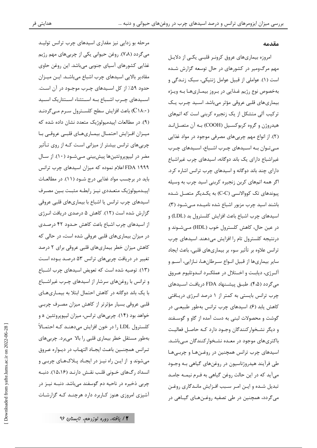#### مقدمه

امروزه بیماریهای عروق کرونـر قلبـی یکـی از دلایـل .<br>مهم مرگ0میر در کشورهای در حال توسعه گزارش شـده است (١). عواملي از قبيل عوامل ژنتيكي، سبک زنـدگي و بهخصوص نوع رژيم غـذايي در بـروز بيمـاريهـا بـه ويـژه بیماریهای قلبی عروقی مؤثر میباشد. اسـید چـرب یـک ترکیب آلی متشکل از یک زنجیره کربنی است که اتمهای هيدروژن و گروه كربوكسـيل (COOH) بـه آن متصـل|نـد (۲). از انواع مهم چربی های مصرفی موجود در مواد غذایی مےتوان به اسیدهای چرب اشباع، اسیدهای چرب غیراشباع دارای یک باند دوگانه، اسیدهای چرب غیراشباع دارای چند باند دوگانه و اسیدهای چرب ترانس اشاره کرد. اگر همه اتمهای کربن زنجیره کربنی اسید چرب به وسیله پیوندهای تک کووالانسی (C-C) به یکـدیگر متصـل شـده باشند اسید چرب مزبور اشباع شده نامیـده مـیشـود (۳). اسیدهای چرب اشباع باعث افزایش کلسترول بد (LDL) و در عین حال، کاهش کلسترول خوب (HDL) مے شـوند و درنتیجه کلسترول تام را افزایش میدهند. اسیدهای چرب ترانس علاوه بر تأثير سوء بر بيماريهاي قلبي، باعث ايجاد سایر بیماریها از قبیل انـواع سـرطانهـا، نـازایی، آسـم و آلرژی، دیابت و اختلال در عملک رد انـدوتلیوم عـروق می گردد (۴،۵). طبـق پیشـنهاد FDA دریافت اسـیدهای چرب ترانس بایستی به کمتر از ۱ درصد انرژی دریافتی کاهش یابد (۶). اسیدهای چرب ترانس بهطور طبیعی در گوشت و محصولات لبنی به دست آمده از گاو و گوسـفند و دیگر نشـخوارکنندگان وجـود دارد کـه حاصـل فعالیـت باکتری های موجود در معـده نشـخوار کنندگان مـے باشـد. اسیدهای چرب ترانس همچنین در روغـنهـا و چربـیهـا طی فرآیند هیدروژناسیون در روغنهای گیاهی بـه وجـود می آید که در این حالت روغن گیاهی به فـرم نیمـه جامـد تبدیل شـده و ایـن امـر سـبب افـزایش مانـدگاری روغـن می گردد، همچنین در طی تصفیه روغـنهـای گیـاهی در

مرحله بو زدایی نیز مقداری اسیدهای چرب ترانس تولیـد می گردد (۷،۸). روغن حیوانی یکی از چربیهای مهم رژیم غذایی کشورهای آسیای جنوبی میباشد. این روغن حاوی مقادیر بالایی اسیدهای چرب اشباع میباشد. این میزان حدود ۵۹٪ از کل اسـیدهای چـرب موجـود در آن اسـت. اسهدهای چرب اشهباع به استثناء استئاریک اسهد (C١٨:٠) باعث افزايش سطح كلسـترول سـرم مـي5ردنـد (۹). در مطالعات اپیدمیولوژیک متعدد نشان داده شده که میـزان افـزایش احتمـال بیمـاریهـای قلبـی عروقـی بـا چربیهای ترانس بیشتر از میزانی است کـه از روی تـأثیر مضر در ليپوپروتئينها پيشبيني مي شـود (١٠). از سـال FDA ۱۹۹۹ اعلام نموده که میزان اسیدهای چرب ترانس باید در برچسب مواد غذایی درج شـود (۱۱). در مطالعـات اپیدمیولوژیک متعـددی نیـز رابطـه مثبـت بـین مصـرف اسیدهای چرب ترانس یا اشباع با بیماریهای قلبی عروقی گزارش شده است (۱۲). کاهش ۵ درصدی دریافت انـرژی از اسیدهای چرب اشباع باعث کاهش حـدود ۴۲ درصـدی در میزان بیماریهای قلبی عروقی شده است، در حالی که کاهش میزان خطر بیماریهای قلبی عروقی برای ۲ درصد تغییر در دریافت چربیهای ترانس ۵۳ درصد بوده است (١٣). توصيه شده است كه تعويض اسيدهاى چرب اشـباع و ترانس با روغنهای سرشار از اسیدهای چـرب غیراشـباع با یک باند دوگانه در کاهش احتمال ابتلا به بیمـاریهـای قلبی عروقی بسیار مؤثرتر از کاهش میزان مصـرف چربـی خواهد بود (۱۴). چربیهای ترانس، میزان لیپوپروتئین a و كلسترول LDL را در خون افزايش مىدهنـد كـه احتمـالاً بهطور مستقل خطر بیماری قلبی را بالا میبرد. چربیهای تـرانس همچنـين باعـث ايجـاد التهـاب در ديـواره عـروق می شوند و از ایـن راه نیـز در ایجـاد پـلاکهـای چربـی و انسداد رگهای خـونی قلـب نقـش دارنـد (۱۵،۱۶). دنبـه چربی ذخیره در ناحیه دم گوسفند میباشد. دنبـه نیـز در آشپزی امروزی هنوز کـاربرد دارد هرچنـد کـه گزارشـات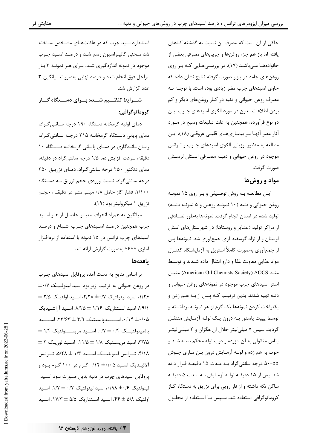حاکی از آن است که مصرف آن نسبت به گذشته کـاهش یافته اما باز هم جزء روغنها و چربیهای مصرفی بعضی از خانوادهها می باشد (١٧). در بررسیهایی که بر روی روغنهای جامد در بازار صورت گرفته نتایج نشان داده که حاوی اسیدهای چرب مضر زیادی بوده است. با توجـه بـه مصرف روغن حیوانی و دنبه در کنار روغنهای دیگر و کم بودن اطلاعات مدون در مورد الگوی اسیدهای چـرب ایـن دو نوع فرآورده، همچنین به علت تبلیغات وسیع در مـورد آثار مضر آنهـا بـر بيمـاريهـاي قلبـي عروقـي (١٨)، ايـن مطالعه به منظور ارزیابی الگوی اسیدهای چـرب و تـرانس موجود در روغن حیوانی و دنبـه مصـرفی اسـتان لرسـتان صورت گرفت.

#### مواد و روش ها

ايـن مطالعـه بـه روش توصـيفي و بـر روى ۱۵ نمونـه روغن حيواني و دنبه (١٠ نمونـه روغـن و ۵ نمونـه دنبـه) تولید شده در استان انجام گرفت. نمونهها بهطور تصادفی از مراکز تولید (عشایر و روستاها) در شهرستانهای استان لرستان و از نژاد گوسفند لری جمعآوری شد. نمونهها پس از جمعآوری بهصورت کاملاً استریل به آزمایشگاه کنتـرل مواد غذایی معاونت غذا و دارو انتقال داده شـدند و توسـط متيل (American Oil Chemists Society) AOCS) متيل استر اسیدهای چرب موجود در نمونههای روغن حیوانی و دنبه تهیه شدند. بدین ترتیب کـه پـس از بـه هـم زدن و یکنواخت کردن نمونهها یک گرم از هر نمونـه برداشـته و توسط پیپت پاستور بـه درون یـک لولـه آزمـایش منتقـل گردید. سپس ۷ میلیلیتر حلال ان هگزان و ۲ میلهیلیتر پتاس متانولی به آن افزوده و درب لوله محکم بسته شـد و خوب به هم زده و لولـه آزمـايش درون بـن مـاري جـوش ۵۵–۵۰ درجه سانتی گراد بـه مـدت ۱۵ دقیقـه قـرار داده شد. پس از ۱۵ دقیقــه لولــه آزمــایش بــه مــدت ۵ دقیقــه ساکن نگه داشته و از فاز رویی برای تزریق به دستگاه گـاز کروماتوگرافی استفاده شد. سـپس بـا اسـتفاده از محلـول

استاندارد اسید چرب که در غلظتهـای مشـخص سـاخته شد منحنی کالیبراسیون رسم شـد و درصـد اسـید چـرب موجود در نمونه اندازهگیری شـد. بـرای هـر نمونـه ۳ بـار مراحل فوق انجام شده و درصد نهایی بهصورت میانگین ۳ عدد گزارش شد.

شــرايط تنظــيم شــده بــراي دســتگاه گــاز كروماتوگرافي:

دمای اولیه گرمخانه دستگاه ۱۹۰ درجه سـانتی گـراد، دمای پایانی دستگاه گرمخانـه ۲۱۵ درجـه سـانتی گـراد، زمـان مانـدگاری در دمـای پایـانی گرمخانـه دسـتگاه ١٠ دقیقه، سرعت افزایش دما ۱/۵ درجه سانتی گراد در دقیقه، دمای دتکتور ۲۵۰ درجه سانتی گراد، دمای تزریـق ۲۵۰ درجه سانتی گراد، نسبت ورودی حجم تزریق بـه دسـتگاه ۱/۱۰۰، فشار گاز حامل ۰/۸ میله متر در دقیقه، حجم تزريق ١ ميكروليتر بود (١٩).

میانگین به همراه انحراف معیـار حاصـل از هـر اسـید چرب همچنین درصد اسـیدهای چـرب اشـباع و درصـد اسیدهای چرب ترانس در ۱۵ نمونه با استفاده از نرمافزار آماری SPSS بهصورت گزارش ارائه شد.

#### بافتهها

بر اساس نتایج به دست آمده پروفایل اسیدهای چـرب در روغن حیوانی به ترتیب زیر بود اسید لینولنیک t+/v ۰۱/۲۶، اسید لینولئیک ۲/۲۸ ± ۲/۲۸، اسـید اولئیـک ۲/۵ ± ٬۲۹/۱ اسید استئاریک ۱/۱۶ ± ۸/۲۵ اسـید آراشـیدیک ۰/۱۴ ±۰/۰۵ اسسیدپالمیتیک ۳/۹ ± ۲۳/۶۳، اسسید  $\pm$  ۱/۴ پالمیتولئیک ۰/۴ + ۰/۳، اسـید مریســتولئیک ۳/۷۵، اسید مریستیک ۱/۸ ± ۱/۵، اسـید لوریـک ۲ ± ۴/۱۸، تـــرانس لینولئیـــک اســـید ۱/۳ ± ۵/۲۸، تـــرانس .<br>آلائیــدیک اســید ۰/۱۴ ± ۰/۱۴ گـرم در ۱۰۰ گـرم بــود و پروفایل اسیدهای چرب در دنبه بدین صـورت بـود اسـید لینولنیک ۰/۶+ ۰/۹۸، اسید لینولئیک ۰/۷ ± ۰/۷، اسـید اولئیک ۵/۸ ± ۴۴، اسید استئاریک ۵/۵ ± ۱۷/۳، اسید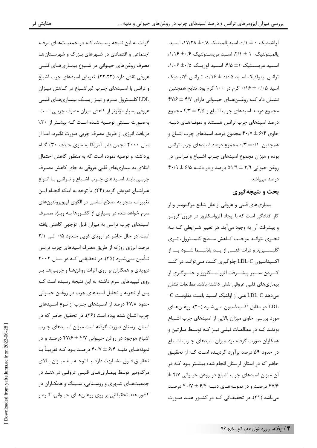آ, اشیدیک ۰ ± ۰/۰، اسیدیالمیتیک ٨/٠± ١٧/٢٨، اسـید پالميتولئيک ١ ± ٢/١، اسيد مريستولئيک ١/١۶+ ١/١٤. اسپ مریستیک ۱± ۴/۵، اسپ لوریک ۱/۰۶± ۱/۰۶، ترانس لينولئيك اسـيد ٠/١٤ ± ٠/١۶، تـرانس آلائيـديك اسید ۰/۰۵ ± ۰/۱۶ گرم در ۱۰۰ گرم بود. نتایج همچنین نشان داد کـه روغــنهـای حیــوانی دارای ۴۷/۶ ± ۴۷/۶ مجموع درصد اسیدهای چرب اشباع و ۲/۵ ± ۴/۳ مجموع درصد اسیدهای چرب ترانس هستند و نمونـههـای دنبـه حاوی ۶/۴ ± ۴۰/۷ مجموع درصد اسیدهای چرب اشباع و همچنین ۰/۳ ±۰/۱ مجموع درصد اسیدهای چرب ترانس بوده و میزان مجموع اسیدهای چـرب اشـباع و تـرانس در  $f \cdot / 9 = 9/3$  وغن حيواني ٣/٩  $f \pm 1/3$  درصد و در دنبـه ۶/۵  $f \pm 1$ در صد مے باشد.

### بحث و نتيجهگيري

بیماریهای قلبی و عروقی از علل شایع مرگ<code>ومیر و از</code> کار افتادگی است که با ایجاد آترواسکلروز در عروق کرونـر و پیشرفت آن به وجود میآید. هر تغییر شـرایطی کـه بـه نحــوي بتوانــد موجــب كــاهش ســطح كلســترول، تــرى گلیســـیرید و ذرات غنــــی از یـــد پلاســـما شـــود یـــا از اکسیداسیون LDL-C جلوگیری کنـد، مـی توانـد در کنـد کــردن ســـير پيشـــرفت آترواســـکلروز و جلـــوگيرى از بيماريهاي قلبي عروقي نقش داشته باشد. مطالعات نشان می دهد LDL-C غنی از اولئیک اسـید باعـث مقاومـت C-LDL در مقابل اکسیداسیون مےشود (۲۰). روغـنهـای مورد بررسی حاوی میزان بالایی از اسیدهای چرب اشباع بودنـد کـه در مطالعـات قبلـى نيـز کـه توسـط مـارتين و همکاران صورت گرفته بود میزان اسیدهای چـرب اشـباع در حدود ۵۹ درصد برآورد گردیـده اسـت کـه از تحقیـق حاضر که در استان لرستان انجام شده بیشــتر بــود کــه در  $\pm$  ۴/۷ آن میزان اسیدهای چرب اشباع در روغن حیـوانی ۴۷/۶ درصد و در نمونـههـای دنبـه ۶/۴ ± ۴۰/۷ درصـد میباشد (٢١). در تحقیقـاتی کـه در کشـور هنـد صـورت

گرفت به این نتیجه رسـیدند کـه در جمعیـتهـای مرفـه اجتماعی و اقتصادی در شهرهای بزرگ و شهرستان ها مصرف روغنهای حیـوانی در شـیوع بیمـاریهـای قلبـی عروقي نقش دارد (٢٢،٢٣). تعويض اسيدهاي چرب اشباع و ترانس با اسـیدهای چـرب غیراشـباع در کـاهش میـزان LDL کلسـترول سـرم و نيـز ريسـک بيمـاريهـاي قلبـي عروقی بسیار مؤثرتر از کاهش میزان مصرف چربـی اسـت. بهصورت سـنتى توصـيه شـده اسـت كـه بيشـتر از ٣٠٪ دریافت انرژی از طریق مصرف چربی صورت نگیرد، امـا از سال ۲۰۰۰ انجمن قلب آمریکا به سوی حـذف ۳۰٪ گـام برداشته و توصیه نموده است که به منظور کاهش احتمال ابتلای به بیماریهای قلبی عروقی به جای کاهش مصـرف چربے بایـد اسـیدهای چـرب اشـباع و تـرانس بـا انـواع غیراشباع تعویض گردد (۲۴). با توجه به اینکه انجـام ایـن تغییرات منجر به اصلاح اساسی در الگوی لیپوپروتئینهای سرم خواهد شد، در بسیاری از کشـورها بـه ویـژه مصـرف اسیدهای چرب ترانس به میزان قابل توجهی کاهش یافته است. در حال حاضر در اروپای غربی حدود ۰/۵ البی ۲/۱ درصد انرژی روزانه از طریق مصرف اسیدهای چرب ترانس تــأمين مــيشــود (۲۵). در تحقيقــي كــه در ســال ۲۰۰۲ دیویدی و همکاران بر روی اثرات روغنهـا و چربـیهـا بـر روی لیپیدهای سرم داشته به این نتیجه رسیده است ک پس از تجزیه و تحلیل اسیدهای چرب در روغـن حیـوانی حدود ۴۷/۸ درصد از اسـیدهای چـرب از نـوع اسـیدهای چرب اشباع شده بوده است (۲۶). در تحقیق حاضر که در استان لرستان صورت گرفته است میزان اسـیدهای چـرب اشباع موجود در روغن حیـوانی ۴/۷ ± ۴۷/۶ درصـد و در نمونههـاي دنبــه ۶/۴ ± ۴۰/۷ درصـد بــود كــه تقريبــاً بــا تحقيــق فــوق مشــابهت دارد. بــا توجــه بــه ميــزان بــالاي مرگومیر توسط بیمـاریهـای قلبـی عروقـی در هنـد در جمعیتهای شهری و روستایی، سـینگ و همکـاران در کشور هند تحقیقاتی بر روی روغـنهـای حیـوانی، کـره و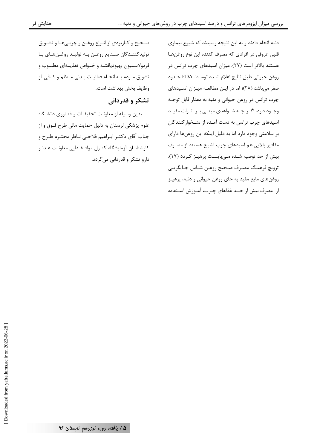دنبه انجام دادند و به این نتیجه رسیدند که شیوع بیماری قلبی عروقی در افرادی که مصرف کننده این نوع روغنها هستند بالاتر است (٢٧). میزان اسیدهای چرب ترانس در روغن حيواني طبق نتايج اعلام شـده توسـط FDA حـدود صفر میباشد (۲۸)؛ اما در ایـن مطالعـه میـزان اسـیدهای چرب ترانس در روغن حیوانی و دنبه به مقدار قابل توجه وجـود دارد، اگـر چـه شـواهدی مبنـی بـر اثـرات مفيـد اسیدهای چرب ترانس به دست آمـده از نشـخوارکنندگان بر سلامتی وجود دارد اما به دلیل اینکه این روغنها دارای مقادیر بالایی هم اسیدهای چرب اشباع هستند از مصرف بیش از حد توصیه شده مے بایست پرهیـز گـردد (١٧). ترويج فرهنـگ مصـرف صـحيح روغـن شـامل جـايگزيني روغنهای مایع مفید به جای روغن حیوانی و دنبه، پرهیـز از مصرف بیش از حــد غذاهای چـرب، آمــوزش اســتفاده

صحيح و كـاربردي از انـواع روغـن و چربـي،هـا و تشـويق توليدكننـدگان صـنايع روغـن بـه توليـد روغـنهـاي بـا فرمولاســيون بهبوديافتــه و خــواص تغذيـــهاى مطلــوب و تشويق مـردم بـه انجـام فعاليـت بـدنى مـنظم و كـافى از وظايف بخش بهداشت است.

## تشکر و قدردانی

بدین وسیله از معاونت تحقیقـات و فنـاوری دانشـگاه علوم پزشکی لرستان به دلیل حمایت مالی طرح فـوق و از جناب آقاي دكتـر ابـراهيم فلاحـى نــاظر محتـرم طـرح و كارشناسان آزمايشگاه كنترل مواد غـذايي معاونـت غـذا و دارو تشکر و قدردانی میگردد.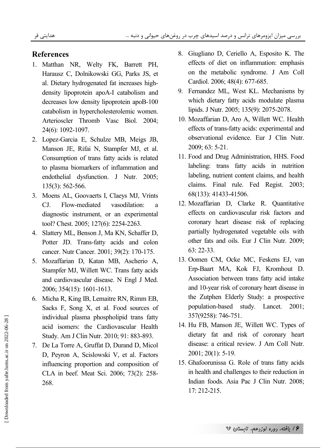#### **References**

- 1. Matthan NR, Welty FK, Barrett PH, Harausz C, Dolnikowski GG, Parks JS, et al. Dietary hydrogenated fat increases highdensity lipoprotein apoA-I catabolism and decreases low density lipoprotein apoB-100 catabolism in hypercholesterolemic women. Arterioscler Thromb Vasc Biol. 2004; 24(6): 1092-1097.
- 2. Lopez-Garcia E, Schulze MB, Meigs JB, Manson JE, Rifai N, Stampfer MJ, et al. Consumption of trans fatty acids is related to plasma biomarkers of inflammation and endothelial dysfunction. J Nutr. 2005; 135(3): 562-566.
- 3. Moens AL, Goovaerts I, Claeys MJ, Vrints CJ. Flow-mediated vasodilation: a diagnostic instrument, or an experimental tool? Chest. 2005; 127(6): 2254-2263.
- 4. Slattery ML, Benson J, Ma KN, Schaffer D, Potter JD. Trans-fatty acids and colon cancer. Nutr Cancer. 2001; 39(2): 170-175.
- 5. Mozaffarian D, Katan MB, Ascherio A, Stampfer MJ, Willett WC. Trans fatty acids and cardiovascular disease. N Engl J Med. 2006; 354(15): 1601-1613.
- 6. Micha R, King IB, Lemaitre RN, Rimm EB, Sacks F, Song X, et al. Food sources of individual plasma phospholipid trans fatty acid isomers: the Cardiovascular Health Study. Am J Clin Nutr. 2010; 91: 883-893.
- 7. De La Torre A, Gruffat D, Durand D, Micol D, Peyron A, Scislowski V, et al. Factors influencing proportion and composition of CLA in beef. Meat Sci. 2006; 73(2): 258- 268.
- 8. Giugliano D, Ceriello A, Esposito K. The effects of diet on inflammation: emphasis on the metabolic syndrome. J Am Coll Cardiol. 2006; 48(4): 677-685.
- 9. Fernandez ML, West KL. Mechanisms by which dietary fatty acids modulate plasma lipids. J Nutr. 2005; 135(9): 2075-2078.
- 10. Mozaffarian D, Aro A, Willett WC. Health effects of trans-fatty acids: experimental and observational evidence. Eur J Clin Nutr. 2009; 63: 5-21.
- 11. Food and Drug Administration, HHS. Food labeling: trans fatty acids in nutrition labeling, nutrient content claims, and health claims. Final rule. Fed Regist. 2003; 68(133): 41433-41506.
- 12. Mozaffarian D, Clarke R. Quantitative effects on cardiovascular risk factors and coronary heart disease risk of replacing partially hydrogenated vegetable oils with other fats and oils. Eur J Clin Nutr. 2009; 63: 22-33.
- 13. Oomen CM, Ocke MC, Feskens EJ, van Erp-Baart MA, Kok FJ, Kromhout D. Association between trans fatty acid intake and 10-year risk of coronary heart disease in the Zutphen Elderly Study: a prospective population-based study. Lancet. 2001; 357(9258): 746-751.
- 14. Hu FB, Manson JE, Willett WC. Types of dietary fat and risk of coronary heart disease: a critical review. J Am Coll Nutr. 2001; 20(1): 5-19.
- 15. Ghafoorunissa G. Role of trans fatty acids in health and challenges to their reduction in Indian foods. Asia Pac J Clin Nutr. 2008; 17: 212-215.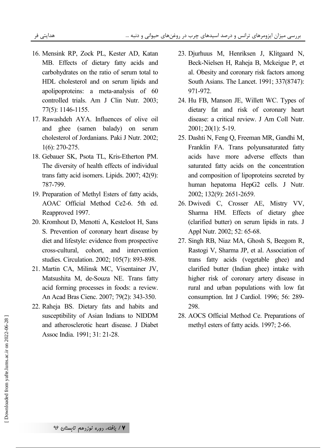- 16. Mensink RP, Zock PL, Kester AD, Katan MB. Effects of dietary fatty acids and carbohydrates on the ratio of serum total to HDL cholesterol and on serum lipids and apolipoproteins: a meta-analysis of 60 controlled trials. Am J Clin Nutr. 2003; 77(5): 1146-1155.
- 17. Rawashdeh AYA. Influences of olive oil and ghee (samen balady) on serum cholesterol of Jordanians. Paki J Nutr. 2002; 1(6): 270-275.
- 18. Gebauer SK, Psota TL, Kris-Etherton PM. The diversity of health effects of individual trans fatty acid isomers. Lipids. 2007; 42(9): 787-799.
- 19. Preparation of Methyl Esters of fatty acids, AOAC Official Method Ce2-6. 5th ed. Reapproved 1997.
- 20. Kromhout D, Menotti A, Kesteloot H, Sans S. Prevention of coronary heart disease by diet and lifestyle: evidence from prospective cross-cultural, cohort, and intervention studies. Circulation. 2002; 105(7): 893-898.
- 21. Martin CA, Milinsk MC, Visentainer JV, Matsushita M, de-Souza NE. Trans fatty acid forming processes in foods: a review. An Acad Bras Cienc. 2007; 79(2): 343-350.
- 22. Raheja BS. Dietary fats and habits and susceptibility of Asian Indians to NIDDM and atherosclerotic heart disease. J Diabet Assoc India. 1991; 31: 21-28.
- 23. Djurhuus M, Henriksen J, Klitgaard N, Beck-Nielsen H, Raheja B, Mckeigue P, et al. Obesity and coronary risk factors among South Asians. The Lancet. 1991; 337(8747): 971-972.
- 24. Hu FB, Manson JE, Willett WC. Types of dietary fat and risk of coronary heart disease: a critical review. J Am Coll Nutr. 2001; 20(1): 5-19.
- 25. Dashti N, Feng Q, Freeman MR, Gandhi M, Franklin FA. Trans polyunsaturated fatty acids have more adverse effects than saturated fatty acids on the concentration and composition of lipoproteins secreted by human hepatoma HepG2 cells. J Nutr. 2002; 132(9): 2651-2659.
- 26. Dwivedi C, Crosser AE, Mistry VV, Sharma HM. Effects of dietary ghee (clarified butter) on serum lipids in rats. J Appl Nutr. 2002; 52: 65-68.
- 27. Singh RB, Niaz MA, Ghosh S, Beegom R, Rastogi V, Sharma JP, et al. Association of trans fatty acids (vegetable ghee) and clarified butter (Indian ghee) intake with higher risk of coronary artery disease in rural and urban populations with low fat consumption. Int J Cardiol. 1996; 56: 289- 298.
- 28. AOCS Official Method Ce. Preparations of methyl esters of fatty acids. 1997; 2-66.